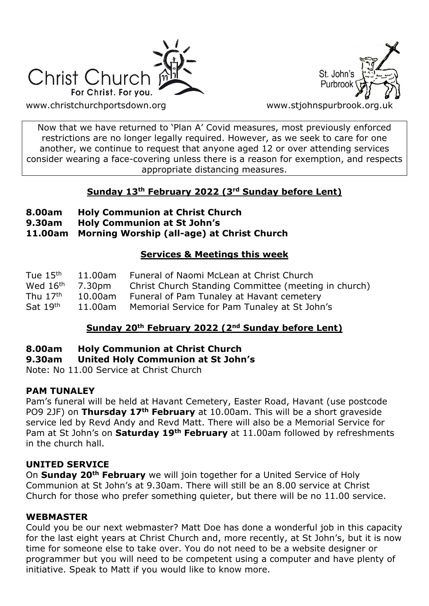



[www.christchurchportsdown.org](http://www.christchurchportsdown.org/) www.stjohnspurbrook.org

Now that we have returned to 'Plan A' Covid measures, most previously enforced restrictions are no longer legally required. However, as we seek to care for one another, we continue to request that anyone aged 12 or over attending services consider wearing a face-covering unless there is a reason for exemption, and respects appropriate distancing measures.

# **Sunday 13th February 2022 (3rd Sunday before Lent)**

- **8.00am Holy Communion at Christ Church**
- **9.30am Holy Communion at St John's**

**11.00am Morning Worship (all-age) at Christ Church**

# **Services & Meetings this week**

| Tue $15th$           | 11.00am | Funeral of Naomi McLean at Christ Church              |
|----------------------|---------|-------------------------------------------------------|
| Wed 16 <sup>th</sup> | 7.30pm  | Christ Church Standing Committee (meeting in church)  |
| Thu $17th$           | 10.00am | Funeral of Pam Tunaley at Havant cemetery             |
| Sat 19th             |         | 11.00am Memorial Service for Pam Tunaley at St John's |

# **Sunday 20th February 2022 (2nd Sunday before Lent)**

# **8.00am Holy Communion at Christ Church**

### **9.30am United Holy Communion at St John's**

Note: No 11.00 Service at Christ Church

### **PAM TUNALEY**

Pam's funeral will be held at Havant Cemetery, Easter Road, Havant (use postcode PO9 2JF) on **Thursday 17th February** at 10.00am. This will be a short graveside service led by Revd Andy and Revd Matt. There will also be a Memorial Service for Pam at St John's on **Saturday 19th February** at 11.00am followed by refreshments in the church hall.

# **UNITED SERVICE**

On **Sunday 20th February** we will join together for a United Service of Holy Communion at St John's at 9.30am. There will still be an 8.00 service at Christ Church for those who prefer something quieter, but there will be no 11.00 service.

### **WEBMASTER**

Could you be our next webmaster? Matt Doe has done a wonderful job in this capacity for the last eight years at Christ Church and, more recently, at St John's, but it is now time for someone else to take over. You do not need to be a website designer or programmer but you will need to be competent using a computer and have plenty of initiative. Speak to Matt if you would like to know more.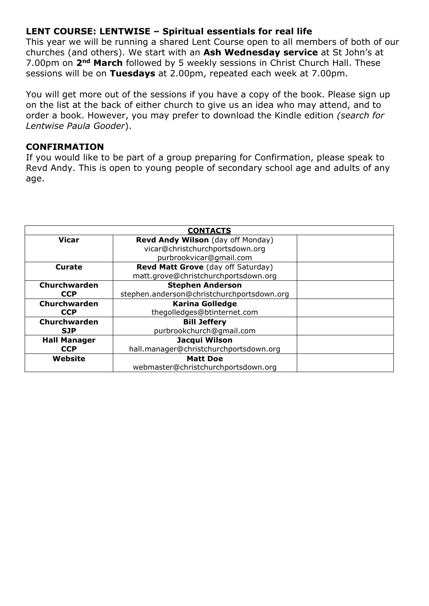# **LENT COURSE: LENTWISE – Spiritual essentials for real life**

This year we will be running a shared Lent Course open to all members of both of our churches (and others). We start with an **Ash Wednesday service** at St John's at 7.00pm on **2nd March** followed by 5 weekly sessions in Christ Church Hall. These sessions will be on **Tuesdays** at 2.00pm, repeated each week at 7.00pm.

You will get more out of the sessions if you have a copy of the book. Please sign up on the list at the back of either church to give us an idea who may attend, and to order a book. However, you may prefer to download the Kindle edition *(search for Lentwise Paula Gooder*).

### **CONFIRMATION**

If you would like to be part of a group preparing for Confirmation, please speak to Revd Andy. This is open to young people of secondary school age and adults of any age.

| <b>CONTACTS</b>     |                                            |  |  |
|---------------------|--------------------------------------------|--|--|
| <b>Vicar</b>        | Revd Andy Wilson (day off Monday)          |  |  |
|                     | vicar@christchurchportsdown.org            |  |  |
|                     | purbrookvicar@gmail.com                    |  |  |
| Curate              | Revd Matt Grove (day off Saturday)         |  |  |
|                     | matt.grove@christchurchportsdown.org       |  |  |
| Churchwarden        | <b>Stephen Anderson</b>                    |  |  |
| <b>CCP</b>          | stephen.anderson@christchurchportsdown.org |  |  |
| Churchwarden        | <b>Karina Golledge</b>                     |  |  |
| <b>CCP</b>          | thegolledges@btinternet.com                |  |  |
| Churchwarden        | <b>Bill Jeffery</b>                        |  |  |
| <b>SJP</b>          | purbrookchurch@qmail.com                   |  |  |
| <b>Hall Manager</b> | Jacqui Wilson                              |  |  |
| <b>CCP</b>          | hall.manager@christchurchportsdown.org     |  |  |
| Website             | <b>Matt Doe</b>                            |  |  |
|                     | webmaster@christchurchportsdown.org        |  |  |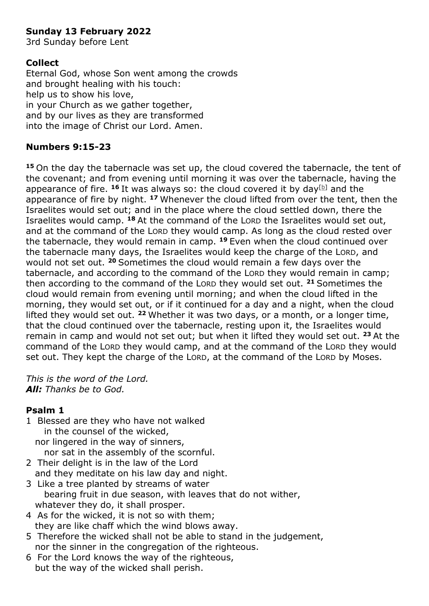# **Sunday 13 February 2022**

3rd Sunday before Lent

# **Collect**

Eternal God, whose Son went among the crowds and brought healing with his touch: help us to show his love, in your Church as we gather together. and by our lives as they are transformed into the image of Christ our Lord. Amen.

# **Numbers 9:15-23**

**<sup>15</sup>** On the day the tabernacle was set up, the cloud covered the tabernacle, the tent of the covenant; and from evening until morning it was over the tabernacle, having the appearance of fire.  $16$  It was always so: the cloud covered it by day<sup>[\[b\]](https://www.biblegateway.com/passage/?search=Numbers%209%3A15-23&version=NRSV#fen-NRSV-3982b)</sup> and the appearance of fire by night. **<sup>17</sup>** Whenever the cloud lifted from over the tent, then the Israelites would set out; and in the place where the cloud settled down, there the Israelites would camp. **<sup>18</sup>** At the command of the LORD the Israelites would set out, and at the command of the LORD they would camp. As long as the cloud rested over the tabernacle, they would remain in camp. **<sup>19</sup>** Even when the cloud continued over the tabernacle many days, the Israelites would keep the charge of the LORD, and would not set out. **<sup>20</sup>** Sometimes the cloud would remain a few days over the tabernacle, and according to the command of the LORD they would remain in camp; then according to the command of the LORD they would set out. **<sup>21</sup>** Sometimes the cloud would remain from evening until morning; and when the cloud lifted in the morning, they would set out, or if it continued for a day and a night, when the cloud lifted they would set out. **<sup>22</sup>** Whether it was two days, or a month, or a longer time, that the cloud continued over the tabernacle, resting upon it, the Israelites would remain in camp and would not set out; but when it lifted they would set out. **<sup>23</sup>** At the command of the LORD they would camp, and at the command of the LORD they would set out. They kept the charge of the LORD, at the command of the LORD by Moses.

*This is the word of the Lord. All: Thanks be to God.*

# **Psalm 1**

1 Blessed are they who have not walked in the counsel of the wicked,

 nor lingered in the way of sinners, nor sat in the assembly of the scornful.

- 2 Their delight is in the law of the Lord and they meditate on his law day and night.
- 3 Like a tree planted by streams of water bearing fruit in due season, with leaves that do not wither, whatever they do, it shall prosper.
- 4 As for the wicked, it is not so with them; they are like chaff which the wind blows away.
- 5 Therefore the wicked shall not be able to stand in the judgement, nor the sinner in the congregation of the righteous.
- 6 For the Lord knows the way of the righteous, but the way of the wicked shall perish.